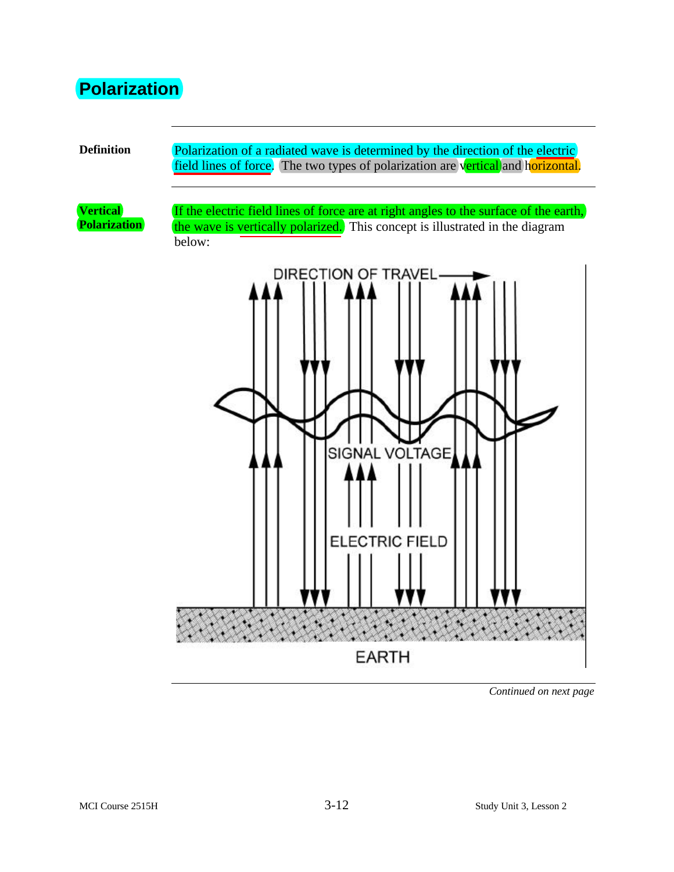#### **Polarization**

**Definition** Polarization of a radiated wave is determined by the direction of the electric field lines of force. The two types of polarization are vertical and horizontal.

**Vertical Polarization**

If the electric field lines of force are at right angles to the surface of the earth, the wave is vertically polarized. This concept is illustrated in the diagram below:



*Continued on next page*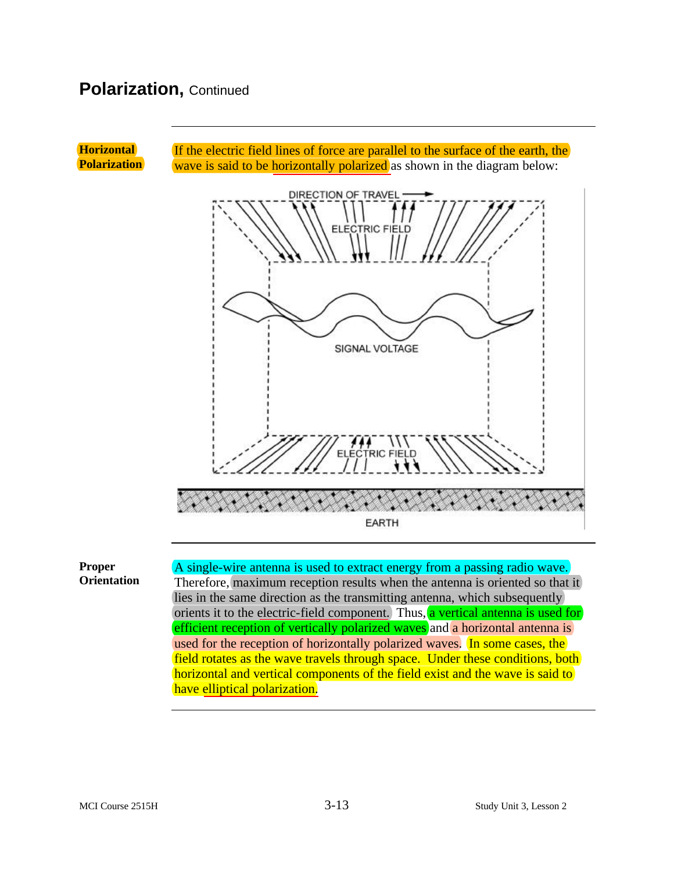#### **Polarization,** Continued



**Proper Orientation** A single-wire antenna is used to extract energy from a passing radio wave. Therefore, maximum reception results when the antenna is oriented so that it lies in the same direction as the transmitting antenna, which subsequently orients it to the electric-field component. Thus, a vertical antenna is used for efficient reception of vertically polarized waves and a horizontal antenna is used for the reception of horizontally polarized waves. In some cases, the field rotates as the wave travels through space. Under these conditions, both horizontal and vertical components of the field exist and the wave is said to have elliptical polarization.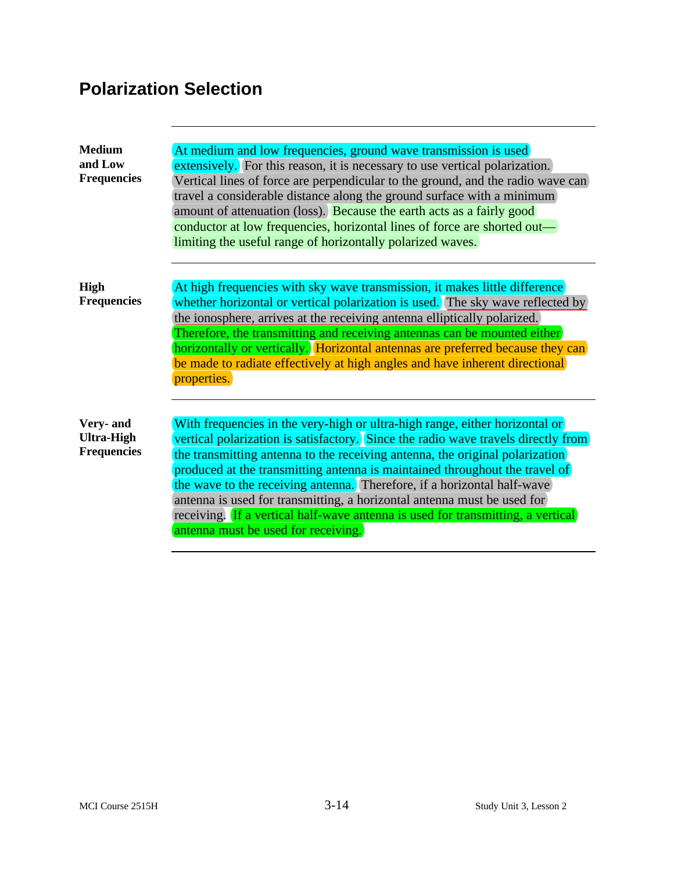# **Polarization Selection**

| <b>Medium</b><br>and Low<br><b>Frequencies</b>       | At medium and low frequencies, ground wave transmission is used<br>extensively. For this reason, it is necessary to use vertical polarization.<br>Vertical lines of force are perpendicular to the ground, and the radio wave can<br>travel a considerable distance along the ground surface with a minimum<br>amount of attenuation (loss). Because the earth acts as a fairly good<br>conductor at low frequencies, horizontal lines of force are shorted out—<br>limiting the useful range of horizontally polarized waves.                                                                                  |
|------------------------------------------------------|-----------------------------------------------------------------------------------------------------------------------------------------------------------------------------------------------------------------------------------------------------------------------------------------------------------------------------------------------------------------------------------------------------------------------------------------------------------------------------------------------------------------------------------------------------------------------------------------------------------------|
| <b>High</b><br><b>Frequencies</b>                    | At high frequencies with sky wave transmission, it makes little difference<br>whether horizontal or vertical polarization is used. The sky wave reflected by<br>the ionosphere, arrives at the receiving antenna elliptically polarized.<br>Therefore, the transmitting and receiving antennas can be mounted either<br>horizontally or vertically. Horizontal antennas are preferred because they can<br>be made to radiate effectively at high angles and have inherent directional<br>properties.                                                                                                            |
| Very- and<br><b>Ultra-High</b><br><b>Frequencies</b> | With frequencies in the very-high or ultra-high range, either horizontal or<br>vertical polarization is satisfactory. Since the radio wave travels directly from<br>the transmitting antenna to the receiving antenna, the original polarization<br>produced at the transmitting antenna is maintained throughout the travel of<br>the wave to the receiving antenna. Therefore, if a horizontal half-wave<br>antenna is used for transmitting, a horizontal antenna must be used for<br>receiving. If a vertical half-wave antenna is used for transmitting, a vertical<br>antenna must be used for receiving. |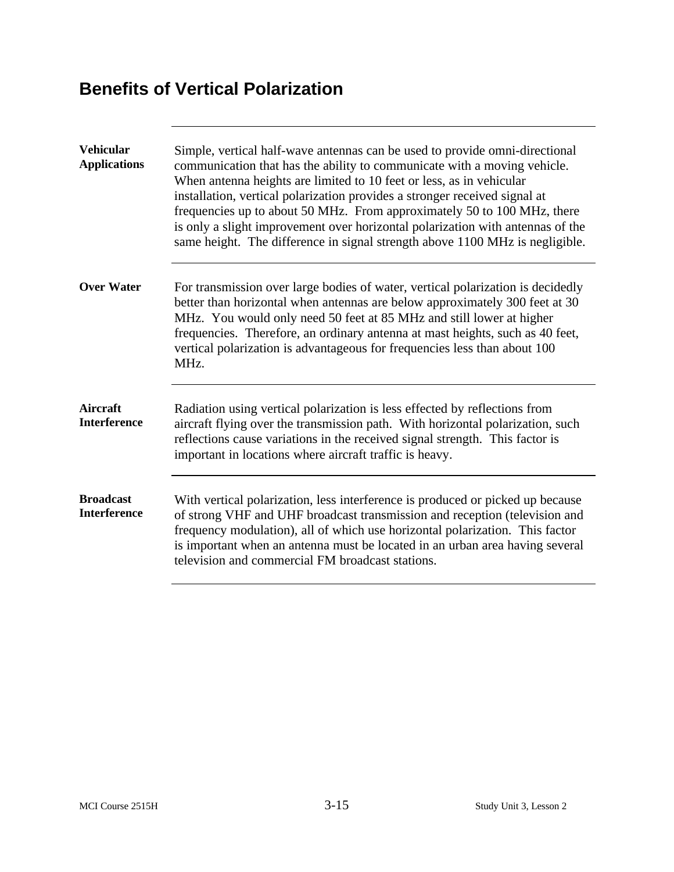### **Benefits of Vertical Polarization**

| <b>Vehicular</b><br><b>Applications</b> | Simple, vertical half-wave antennas can be used to provide omni-directional<br>communication that has the ability to communicate with a moving vehicle.<br>When antenna heights are limited to 10 feet or less, as in vehicular<br>installation, vertical polarization provides a stronger received signal at<br>frequencies up to about 50 MHz. From approximately 50 to 100 MHz, there<br>is only a slight improvement over horizontal polarization with antennas of the<br>same height. The difference in signal strength above 1100 MHz is negligible. |
|-----------------------------------------|------------------------------------------------------------------------------------------------------------------------------------------------------------------------------------------------------------------------------------------------------------------------------------------------------------------------------------------------------------------------------------------------------------------------------------------------------------------------------------------------------------------------------------------------------------|
| <b>Over Water</b>                       | For transmission over large bodies of water, vertical polarization is decidedly<br>better than horizontal when antennas are below approximately 300 feet at 30<br>MHz. You would only need 50 feet at 85 MHz and still lower at higher<br>frequencies. Therefore, an ordinary antenna at mast heights, such as 40 feet,<br>vertical polarization is advantageous for frequencies less than about 100<br>MHz.                                                                                                                                               |
| Aircraft<br><b>Interference</b>         | Radiation using vertical polarization is less effected by reflections from<br>aircraft flying over the transmission path. With horizontal polarization, such<br>reflections cause variations in the received signal strength. This factor is<br>important in locations where aircraft traffic is heavy.                                                                                                                                                                                                                                                    |
| <b>Broadcast</b><br><b>Interference</b> | With vertical polarization, less interference is produced or picked up because<br>of strong VHF and UHF broadcast transmission and reception (television and<br>frequency modulation), all of which use horizontal polarization. This factor<br>is important when an antenna must be located in an urban area having several<br>television and commercial FM broadcast stations.                                                                                                                                                                           |